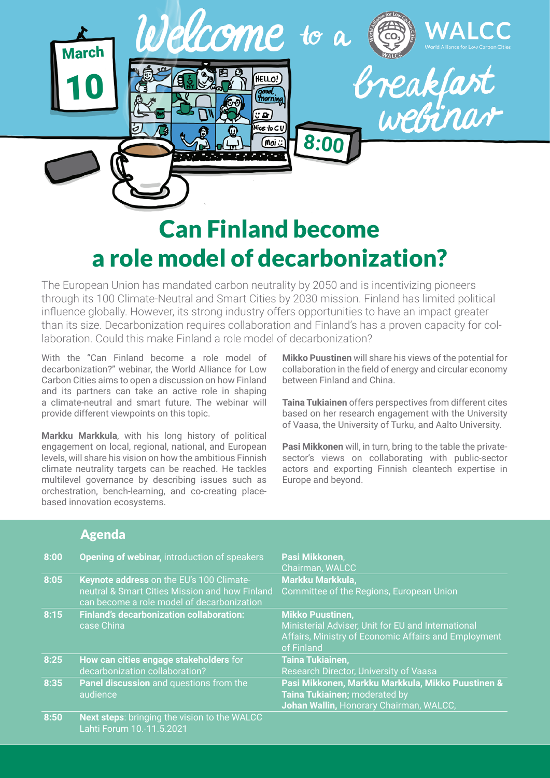

## Can Finland become a role model of decarbonization?

The European Union has mandated carbon neutrality by 2050 and is incentivizing pioneers through its 100 Climate-Neutral and Smart Cities by 2030 mission. Finland has limited political influence globally. However, its strong industry offers opportunities to have an impact greater than its size. Decarbonization requires collaboration and Finland's has a proven capacity for collaboration. Could this make Finland a role model of decarbonization?

With the "Can Finland become a role model of decarbonization?" webinar, the World Alliance for Low Carbon Cities aims to open a discussion on how Finland and its partners can take an active role in shaping a climate-neutral and smart future. The webinar will provide different viewpoints on this topic.

**Markku Markkula**, with his long history of political engagement on local, regional, national, and European levels, will share his vision on how the ambitious Finnish climate neutrality targets can be reached. He tackles multilevel governance by describing issues such as orchestration, bench-learning, and co-creating placebased innovation ecosystems.

**Mikko Puustinen** will share his views of the potential for collaboration in the field of energy and circular economy between Finland and China.

**Taina Tukiainen** offers perspectives from different cites based on her research engagement with the University of Vaasa, the University of Turku, and Aalto University.

**Pasi Mikkonen** will, in turn, bring to the table the privatesector's views on collaborating with public-sector actors and exporting Finnish cleantech expertise in Europe and beyond.

## Agenda

| 8:00 | Opening of webinar, introduction of speakers                                                                                             | Pasi Mikkonen,<br>Chairman, WALCC                                                                                                                   |
|------|------------------------------------------------------------------------------------------------------------------------------------------|-----------------------------------------------------------------------------------------------------------------------------------------------------|
| 8:05 | Keynote address on the EU's 100 Climate-<br>neutral & Smart Cities Mission and how Finland<br>can become a role model of decarbonization | Markku Markkula,<br>Committee of the Regions, European Union                                                                                        |
| 8:15 | <b>Finland's decarbonization collaboration:</b><br>case China                                                                            | <b>Mikko Puustinen,</b><br>Ministerial Adviser, Unit for EU and International<br>Affairs, Ministry of Economic Affairs and Employment<br>of Finland |
| 8:25 | How can cities engage stakeholders for<br>decarbonization collaboration?                                                                 | <b>Taina Tukiainen,</b><br>Research Director, University of Vaasa                                                                                   |
| 8:35 | Panel discussion and questions from the<br>audience                                                                                      | Pasi Mikkonen, Markku Markkula, Mikko Puustinen &<br>Taina Tukiainen; moderated by<br>Johan Wallin, Honorary Chairman, WALCC,                       |
| 8:50 | Next steps: bringing the vision to the WALCC<br>Lahti Forum 10.-11.5.2021                                                                |                                                                                                                                                     |